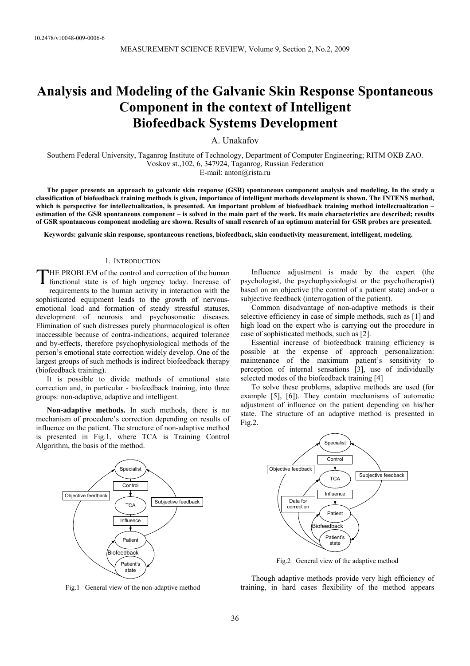# **Analysis and Modeling of the Galvanic Skin Response Spontaneous Component in the context of Intelligent Biofeedback Systems Development**

A. Unakafov

Southern Federal University, Taganrog Institute of Technology, Department of Computer Engineering; RITM OKB ZAO. Voskov st.,102, 6, 347924, Taganrog, Russian Federation

E-mail: anton@rista.ru

**The paper presents an approach to galvanic skin response (GSR) spontaneous component analysis and modeling. In the study a classification of biofeedback training methods is given, importance of intelligent methods development is shown. The INTENS method, which is perspective for intellectualization, is presented. An important problem of biofeedback training method intellectualization – estimation of the GSR spontaneous component – is solved in the main part of the work. Its main characteristics are described; results of GSR spontaneous component modeling are shown. Results of small research of an optimum material for GSR probes are presented.**

**Keywords: galvanic skin response, spontaneous reactions, biofeedback, skin conductivity measurement, intelligent, modeling.** 

# 1. INTRODUCTION

THE PROBLEM of the control and correction of the human functional state is of high urgency today. Increase of functional state is of high urgency today. Increase of requirements to the human activity in interaction with the sophisticated equipment leads to the growth of nervousemotional load and formation of steady stressful statuses, development of neurosis and psychosomatic diseases. Elimination of such distresses purely pharmacological is often inaccessible because of contra-indications, acquired tolerance and by-effects, therefore psychophysiological methods of the person's emotional state correction widely develop. One of the largest groups of such methods is indirect biofeedback therapy (biofeedback training).

It is possible to divide methods of emotional state correction and, in particular - biofeedback training, into three groups: non-adaptive, adaptive and intelligent.

**Non-adaptive methods.** In such methods, there is no mechanism of procedure's correction depending on results of influence on the patient. The structure of non-adaptive method is presented in Fig.1, where TCA is Training Control Algorithm, the basis of the method.



Fig.1 General view of the non-adaptive method

Influence adjustment is made by the expert (the psychologist, the psychophysiologist or the psychotherapist) based on an objective (the control of a patient state) and-or a subjective feedback (interrogation of the patient).

Common disadvantage of non-adaptive methods is their selective efficiency in case of simple methods, such as [1] and high load on the expert who is carrying out the procedure in case of sophisticated methods, such as [2].

Essential increase of biofeedback training efficiency is possible at the expense of approach personalization: maintenance of the maximum patient's sensitivity to perception of internal sensations [3], use of individually selected modes of the biofeedback training [4]

To solve these problems, adaptive methods are used (for example [5], [6]). They contain mechanisms of automatic adjustment of influence on the patient depending on his/her state. The structure of an adaptive method is presented in Fig.2.



Fig.2 General view of the adaptive method

Though adaptive methods provide very high efficiency of training, in hard cases flexibility of the method appears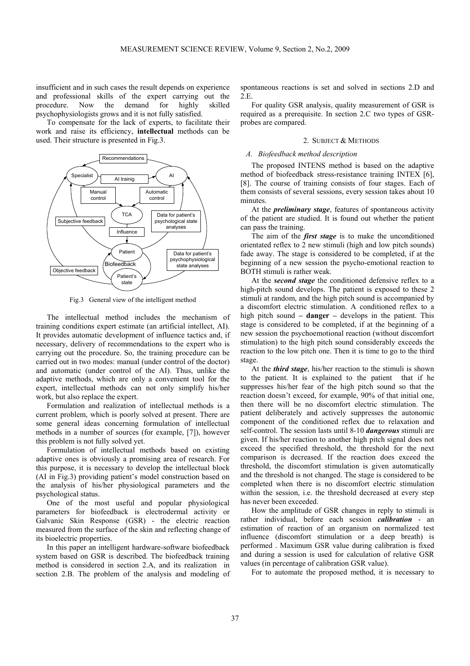insufficient and in such cases the result depends on experience and professional skills of the expert carrying out the procedure. Now the demand for highly skilled psychophysiologists grows and it is not fully satisfied.

To compensate for the lack of experts, to facilitate their work and raise its efficiency, **intellectual** methods can be used. Their structure is presented in Fig.3.



Fig.3 General view of the intelligent method

The intellectual method includes the mechanism of training conditions expert estimate (an artificial intellect, AI). It provides automatic development of influence tactics and, if necessary, delivery of recommendations to the expert who is carrying out the procedure. So, the training procedure can be carried out in two modes: manual (under control of the doctor) and automatic (under control of the AI). Thus, unlike the adaptive methods, which are only a convenient tool for the expert, intellectual methods can not only simplify his/her work, but also replace the expert.

Formulation and realization of intellectual methods is a current problem, which is poorly solved at present. There are some general ideas concerning formulation of intellectual methods in a number of sources (for example, [7]), however this problem is not fully solved yet.

Formulation of intellectual methods based on existing adaptive ones is obviously a promising area of research. For this purpose, it is necessary to develop the intellectual block (AI in Fig.3) providing patient's model construction based on the analysis of his/her physiological parameters and the psychological status.

One of the most useful and popular physiological parameters for biofeedback is electrodermal activity or Galvanic Skin Response (GSR) - the electric reaction measured from the surface of the skin and reflecting change of its bioelectric properties.

In this paper an intelligent hardware-software biofeedback system based on GSR is described. The biofeedback training method is considered in section 2.A, and its realization in section 2.B. The problem of the analysis and modeling of

spontaneous reactions is set and solved in sections 2.D and 2.E.

For quality GSR analysis, quality measurement of GSR is required as a prerequisite. In section 2.C two types of GSRprobes are compared.

#### 2. SUBJECT & METHODS

## *A. Biofeedback method description*

The proposed INTENS method is based on the adaptive method of biofeedback stress-resistance training INTEX [6], [8]. The course of training consists of four stages. Each of them consists of several sessions, every session takes about 10 minutes.

At the *preliminary stage*, features of spontaneous activity of the patient are studied. It is found out whether the patient can pass the training.

The aim of the *first stage* is to make the unconditioned orientated reflex to 2 new stimuli (high and low pitch sounds) fade away. The stage is considered to be completed, if at the beginning of a new session the psycho-emotional reaction to BOTH stimuli is rather weak.

At the *second stage* the conditioned defensive reflex to a high-pitch sound develops. The patient is exposed to these 2 stimuli at random, and the high pitch sound is accompanied by a discomfort electric stimulation. A conditioned reflex to a high pitch sound **– danger –** develops in the patient. This stage is considered to be completed, if at the beginning of a new session the psychoemotional reaction (without discomfort stimulation) to the high pitch sound considerably exceeds the reaction to the low pitch one. Then it is time to go to the third stage.

At the *third stage*, his/her reaction to the stimuli is shown to the patient. It is explained to the patient that if he suppresses his/her fear of the high pitch sound so that the reaction doesn't exceed, for example, 90% of that initial one, then there will be no discomfort electric stimulation. The patient deliberately and actively suppresses the autonomic component of the conditioned reflex due to relaxation and self-control. The session lasts until 8-10 *dangerous* stimuli are given. If his/her reaction to another high pitch signal does not exceed the specified threshold, the threshold for the next comparison is decreased. If the reaction does exceed the threshold, the discomfort stimulation is given automatically and the threshold is not changed. The stage is considered to be completed when there is no discomfort electric stimulation within the session, i.e. the threshold decreased at every step has never been exceeded.

How the amplitude of GSR changes in reply to stimuli is rather individual, before each session *calibration* - an estimation of reaction of an organism on normalized test influence (discomfort stimulation or a deep breath) is performed . Maximum GSR value during calibration is fixed and during a session is used for calculation of relative GSR values (in percentage of calibration GSR value).

For to automate the proposed method, it is necessary to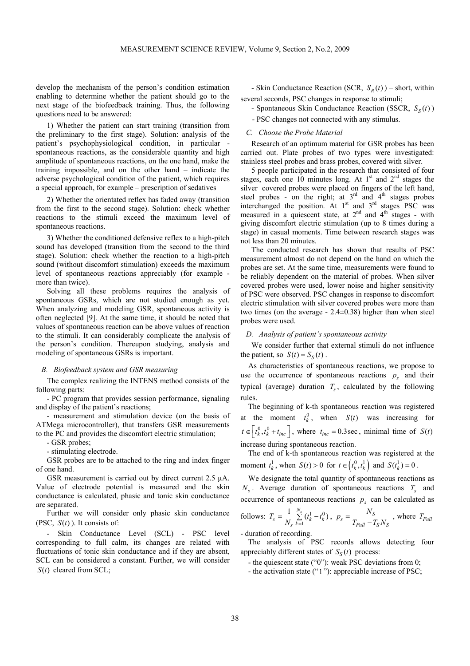develop the mechanism of the person's condition estimation enabling to determine whether the patient should go to the next stage of the biofeedback training. Thus, the following questions need to be answered:

1) Whether the patient can start training (transition from the preliminary to the first stage). Solution: analysis of the patient's psychophysiological condition, in particular spontaneous reactions, as the considerable quantity and high amplitude of spontaneous reactions, on the one hand, make the training impossible, and on the other hand – indicate the adverse psychological condition of the patient, which requires a special approach, for example – prescription of sedatives

2) Whether the orientated reflex has faded away (transition from the first to the second stage). Solution: check whether reactions to the stimuli exceed the maximum level of spontaneous reactions.

3) Whether the conditioned defensive reflex to a high-pitch sound has developed (transition from the second to the third stage). Solution: check whether the reaction to a high-pitch sound (without discomfort stimulation) exceeds the maximum level of spontaneous reactions appreciably (for example more than twice).

Solving all these problems requires the analysis of spontaneous GSRs, which are not studied enough as yet. When analyzing and modeling GSR, spontaneous activity is often neglected [9]. At the same time, it should be noted that values of spontaneous reaction can be above values of reaction to the stimuli. It can considerably complicate the analysis of the person's condition. Thereupon studying, analysis and modeling of spontaneous GSRs is important.

## *B. Biofeedback system and GSR measuring*

The complex realizing the INTENS method consists of the following parts:

- PC program that provides session performance, signaling and display of the patient's reactions;

- measurement and stimulation device (on the basis of ATMega microcontroller), that transfers GSR measurements to the PC and provides the discomfort electric stimulation;

- GSR probes;

- stimulating electrode.

GSR probes are to be attached to the ring and index finger of one hand.

GSR measurement is carried out by direct current 2.5  $\mu$ A. Value of electrode potential is measured and the skin conductance is calculated, phasic and tonic skin conductance are separated.

Further we will consider only phasic skin conductance (PSC,  $S(t)$ ). It consists of:

Skin Conductance Level (SCL) - PSC level corresponding to full calm, its changes are related with fluctuations of tonic skin conductance and if they are absent, SCL can be considered a constant. Further, we will consider  $S(t)$  cleared from SCL;

- Skin Conductance Reaction (SCR,  $S_R(t)$ ) – short, within several seconds, PSC changes in response to stimuli;

- $-$  Spontaneous Skin Conductance Reaction (SSCR,  $S_S(t)$ )
- PSC changes not connected with any stimulus.

# *C. Choose the Probe Material*

Research of an optimum material for GSR probes has been carried out. Plate probes of two types were investigated: stainless steel probes and brass probes, covered with silver.

5 people participated in the research that consisted of four stages, each one 10 minutes long. At  $1<sup>st</sup>$  and  $2<sup>nd</sup>$  stages the silver covered probes were placed on fingers of the left hand, steel probes - on the right; at  $3<sup>rd</sup>$  and  $4<sup>th</sup>$  stages probes interchanged the position. At  $1<sup>st</sup>$  and  $3<sup>rd</sup>$  stages PSC was measured in a quiescent state, at  $2<sup>nd</sup>$  and  $4<sup>th</sup>$  stages - with giving discomfort electric stimulation (up to 8 times during a stage) in casual moments. Time between research stages was not less than 20 minutes.

The conducted research has shown that results of PSC measurement almost do not depend on the hand on which the probes are set. At the same time, measurements were found to be reliably dependent on the material of probes. When silver covered probes were used, lower noise and higher sensitivity of PSC were observed. PSC changes in response to discomfort electric stimulation with silver covered probes were more than two times (on the average - 2.4±0.38) higher than when steel probes were used.

## *D. Analysis of patient's spontaneous activity*

We consider further that external stimuli do not influence the patient, so  $S(t) = S_S(t)$ .

As characteristics of spontaneous reactions, we propose to use the occurrence of spontaneous reactions  $p_s$  and their typical (average) duration  $T<sub>s</sub>$ , calculated by the following rules.

The beginning of k-th spontaneous reaction was registered at the moment  $t_k^0$ , when  $S(t)$  was increasing for  $t \in \left[t_k^0, t_k^0 + t_{inc}\right]$ , where  $t_{inc} = 0.3$  sec, minimal time of  $S(t)$ increase during spontaneous reaction.

The end of k-th spontaneous reaction was registered at the moment  $t_k^1$ , when  $S(t) > 0$  for  $t \in (t_k^0, t_k^1)$  and  $S(t_k^1) = 0$ .

We designate the total quantity of spontaneous reactions as  $N_s$ . Average duration of spontaneous reactions  $T_s$  and occurrence of spontaneous reactions  $p<sub>s</sub>$  can be calculated as

follows: 
$$
T_s = \frac{1}{N_s} \sum_{k=1}^{N_s} (t_k^1 - t_k^0)
$$
,  $p_s = \frac{N_s}{T_{Full} - T_s N_s}$ , where  $T_{Full}$ 

- duration of recording.

The analysis of PSC records allows detecting four appreciably different states of  $S<sub>S</sub>(t)$  process:

- the quiescent state ("0"): weak PSC deviations from 0;

- the activation state ("1"): appreciable increase of PSC;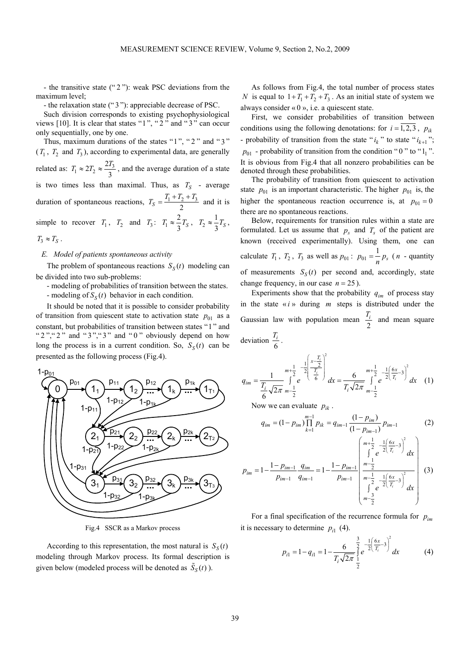- the transitive state (" 2 "): weak PSC deviations from the maximum level;

- the relaxation state (" 3 "): appreciable decrease of PSC.

Such division corresponds to existing psychophysiological views [10]. It is clear that states "1", " $2$ " and " $3$ " can occur only sequentially, one by one.

Thus, maximum durations of the states "1", "2" and "3"  $(T_1, T_2, T_3)$ , according to experimental data, are generally related as:  $T_1 \approx 2T_2 \approx \frac{2T_3}{3}$  $T_1 \approx 2T_2 \approx \frac{2T_3}{r^2}$ , and the average duration of a state is two times less than maximal. Thus, as  $T<sub>S</sub>$  - average duration of spontaneous reactions,  $T_S = \frac{I_1 + I_2 + I_3}{2}$  $T_s = \frac{T_1 + T_2 + T_3}{T_1 + T_2}$  and it is simple to recover  $T_1$ ,  $T_2$  and  $T_3$ :  $T_1 \approx \frac{2}{3}$  $T_1 \approx \frac{2}{3} T_S$ ,  $T_2 \approx \frac{1}{3}$  $T_2 \approx \frac{1}{3} T_S$ ,  $T_3 \approx T_S$ .

## *E. Model of patients spontaneous activity*

The problem of spontaneous reactions  $S_s(t)$  modeling can be divided into two sub-problems:

- modeling of probabilities of transition between the states.
- modeling of  $S<sub>S</sub>(t)$  behavior in each condition.

It should be noted that it is possible to consider probability of transition from quiescent state to activation state  $p_{01}$  as a constant, but probabilities of transition between states "1" and " $2$ ", " $2$ " and " $3$ ", " $3$ " and " $0$ " obviously depend on how long the process is in a current condition. So,  $S_S(t)$  can be presented as the following process (Fig.4).



Fig.4 SSCR as a Markov process

According to this representation, the most natural is  $S_S(t)$ modeling through Markov process. Its formal description is given below (modeled process will be denoted as  $\tilde{S}_S(t)$ ).

As follows from Fig.4, the total number of process states *N* is equal to  $1+T_1+T_2+T_3$ . As an initial state of system we always consider  $\ll 0$  », i.e. a quiescent state.

First, we consider probabilities of transition between conditions using the following denotations: for  $i = \overline{1,2,3}$ ,  $p_{ik}$ - probability of transition from the state " $i_k$ " to state " $i_{k+1}$ ";  $p_{01}$  - probability of transition from the condition "0" to " $1_1$ ". It is obvious from Fig.4 that all nonzero probabilities can be denoted through these probabilities.

The probability of transition from quiescent to activation state  $p_{01}$  is an important characteristic. The higher  $p_{01}$  is, the higher the spontaneous reaction occurrence is, at  $p_{01} = 0$ there are no spontaneous reactions.

Below, requirements for transition rules within a state are formulated. Let us assume that  $p_s$  and  $T_s$  of the patient are known (received experimentally). Using them, one can calculate  $T_1$ ,  $T_2$ ,  $T_3$  as well as  $p_{01}$ :  $p_{01} = \frac{1}{n} p_s$  (*n* - quantity of measurements  $S_S(t)$  per second and, accordingly, state change frequency, in our case  $n = 25$ .

Experiments show that the probability  $q_{im}$  of process stay in the state « *i* » during *m* steps is distributed under the Gaussian law with population mean  $\frac{T_i}{2}$  and mean square deviation  $\frac{T_i}{6}$ .

$$
q_{im} = \frac{1}{\frac{T_i}{6}\sqrt{2\pi}} \int_{\frac{m-1}{2}}^{\frac{m+1}{2}} e^{-\frac{1}{2}\left(\frac{x-\frac{T_i}{2}}{\frac{T_i}{6}}\right)^2} dx = \frac{6}{T_i\sqrt{2\pi}} \int_{m-\frac{1}{2}}^{m+\frac{1}{2}} e^{-\frac{1}{2}\left(\frac{6x}{T_i}-3\right)^2} dx \quad (1)
$$

Now we can evaluate  $p_{ik}$ 

$$
q_{im} = (1 - p_{im}) \prod_{k=1}^{m-1} p_{ik} = q_{im-1} \frac{(1 - p_{im})}{(1 - p_{im-1})} p_{im-1}
$$
 (2)  

$$
\int_{0}^{m+\frac{1}{2}} e^{-\frac{1}{2} \left(\frac{6x}{T_i} - 3\right)^2} dx
$$

$$
p_{im} = 1 - \frac{1 - p_{im-1}}{p_{im-1}} \frac{q_{im}}{q_{im-1}} = 1 - \frac{1 - p_{im-1}}{p_{im-1}} \begin{bmatrix} \int_{m-1}^{m-1} e^{-2(T_i)} dx \\ \frac{m-1}{2} \\ \int_{m-2}^{m-1} e^{-2(T_i - 3)} dx \\ \frac{1}{m-2} \end{bmatrix}
$$
(3)

For a final specification of the recurrence formula for  $p_{im}$ it is necessary to determine  $p_{i1}$  (4).

$$
p_{i1} = 1 - q_{i1} = 1 - \frac{6}{T_i \sqrt{2\pi}} \int_{\frac{1}{2}}^{\frac{3}{2}} e^{-\frac{1}{2} \left(\frac{6x}{T_i} - 3\right)^2} dx
$$
 (4)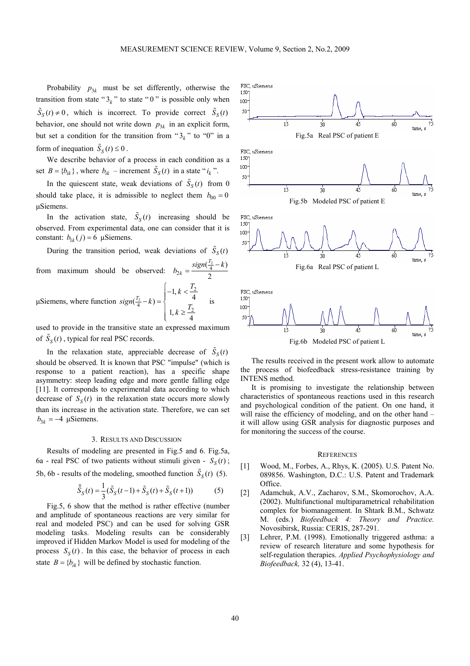Probability  $p_{3k}$  must be set differently, otherwise the transition from state " $3_k$ " to state "0" is possible only when  $\tilde{S}_{S}(t) \neq 0$ , which is incorrect. To provide correct  $\tilde{S}_{S}(t)$ behavior, one should not write down  $p_{3k}$  in an explicit form, but set a condition for the transition from " $3_k$ " to "0" in a form of inequation  $\tilde{S}_{S}(t) \leq 0$ .

We describe behavior of a process in each condition as a set  ${B} = {b_{ik}}$ , where  $b_{ik}$  – increment  $\tilde{S}_S(t)$  in a state " $i_k$ ".

In the quiescent state, weak deviations of  $\tilde{S}_S(t)$  from 0 should take place, it is admissible to neglect them  $b_{00} = 0$ µSiemens.

In the activation state,  $\tilde{S}_S(t)$  increasing should be observed. From experimental data, one can consider that it is constant:  $b_{1k}(j) = 6$  µSiemens.

During the transition period, weak deviations of 
$$
\tilde{S}_S(t)
$$
  
from maximum should be observed:  $b_{2k} = \frac{\text{sign}(\frac{T_2}{4} - k)}{2}$   

$$
\mu \text{Siemens, where function } \text{sign}(\frac{T_2}{4} - k) = \begin{cases} -1, k < \frac{T_2}{4} \\ 1, k \ge \frac{T_2}{4} \end{cases}
$$
is

used to provide in the transitive state an expressed maximum of  $\tilde{S}_S(t)$ , typical for real PSC records.

In the relaxation state, appreciable decrease of  $\tilde{S}_S(t)$ should be observed. It is known that PSC "impulse" (which is response to a patient reaction), has a specific shape asymmetry: steep leading edge and more gentle falling edge [11]. It corresponds to experimental data according to which decrease of  $S<sub>S</sub>(t)$  in the relaxation state occurs more slowly than its increase in the activation state. Therefore, we can set  $b_{3k} = -4$  µSiemens.

#### 3. RESULTS AND DISCUSSION

Results of modeling are presented in Fig.5 and 6. Fig.5a, 6a - real PSC of two patients without stimuli given -  $S_S(t)$ ; 5b, 6b - results of the modeling, smoothed function  $\tilde{S}_S(t)$  (5).

$$
\tilde{\tilde{S}}_S(t) = \frac{1}{3} (\tilde{S}_S(t-1) + \tilde{S}_S(t) + \tilde{S}_S(t+1))
$$
 (5)

Fig.5, 6 show that the method is rather effective (number and amplitude of spontaneous reactions are very similar for real and modeled PSC) and can be used for solving GSR modeling tasks. Modeling results can be considerably improved if Hidden Markov Model is used for modeling of the process  $S_S(t)$ . In this case, the behavior of process in each state  $B = \{b_{ik}\}\$  will be defined by stochastic function.



Fig.6b Modeled PSC of patient L

The results received in the present work allow to automate the process of biofeedback stress-resistance training by INTENS method.

It is promising to investigate the relationship between characteristics of spontaneous reactions used in this research and psychological condition of the patient. On one hand, it will raise the efficiency of modeling, and on the other hand – it will allow using GSR analysis for diagnostic purposes and for monitoring the success of the course.

#### **REFERENCES**

- [1] Wood, M., Forbes, A., Rhys, K. (2005). U.S. Patent No. 089856. Washington, D.C.: U.S. Patent and Trademark Office.
- [2] Adamchuk, A.V., Zacharov, S.M., Skomorochov, A.A. (2002). Multifunctional multiparametrical rehabilitation complex for biomanagement. In Shtark B.M., Schwatz M. (eds.) *Biofeedback 4: Theory and Practice.* Novosibirsk, Russia: CERIS, 287-291.
- [3] Lehrer, P.M. (1998). Emotionally triggered asthma: a review of research literature and some hypothesis for self-regulation therapies. *Applied Psychophysiology and Biofeedback,* 32 (4), 13-41.